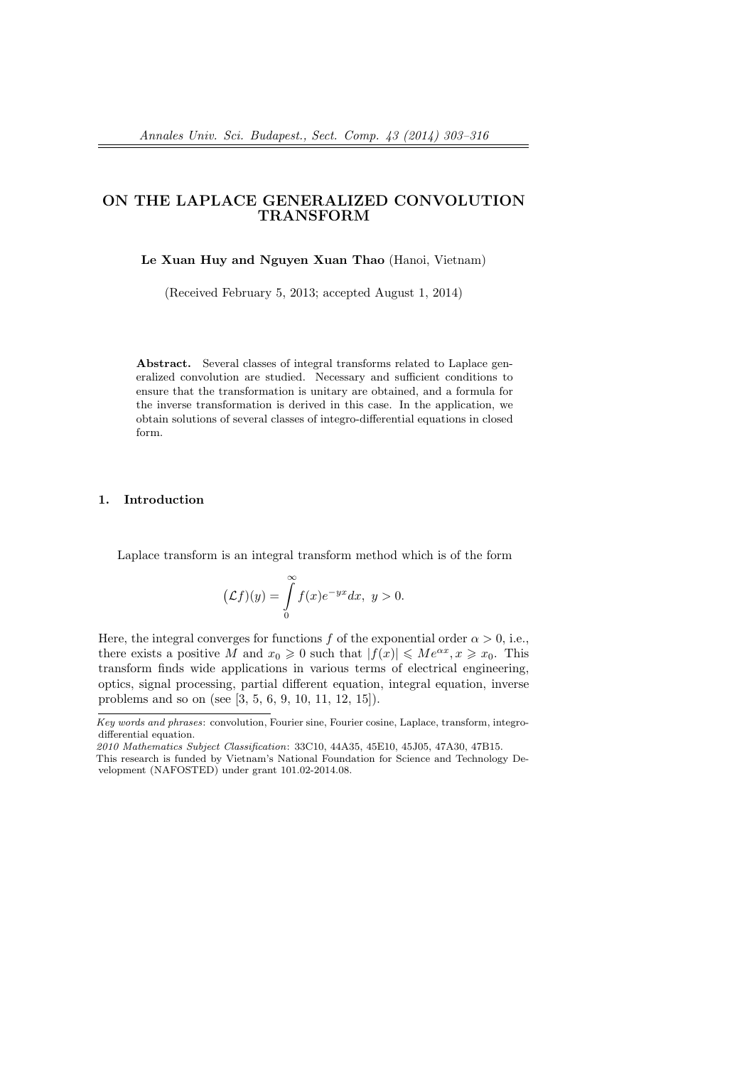# **ON THE LAPLACE GENERALIZED CONVOLUTION TRANSFORM**

## **Le Xuan Huy and Nguyen Xuan Thao** (Hanoi, Vietnam)

(Received February 5, 2013; accepted August 1, 2014)

**Abstract.** Several classes of integral transforms related to Laplace generalized convolution are studied. Necessary and sufficient conditions to ensure that the transformation is unitary are obtained, and a formula for the inverse transformation is derived in this case. In the application, we obtain solutions of several classes of integro-differential equations in closed form.

### **1. Introduction**

Laplace transform is an integral transform method which is of the form

$$
(\mathcal{L}f)(y) = \int_{0}^{\infty} f(x)e^{-yx}dx, \ y > 0.
$$

Here, the integral converges for functions *f* of the exponential order  $\alpha > 0$ , i.e., there exists a positive *M* and  $x_0 \ge 0$  such that  $|f(x)| \le Me^{\alpha x}, x \ge x_0$ . This transform finds wide applications in various terms of electrical engineering, optics, signal processing, partial different equation, integral equation, inverse problems and so on (see [3, 5, 6, 9, 10, 11, 12, 15]).

*Key words and phrases*: convolution, Fourier sine, Fourier cosine, Laplace, transform, integrodifferential equation.

*<sup>2010</sup> Mathematics Subject Classification*: 33C10, 44A35, 45E10, 45J05, 47A30, 47B15.

This research is funded by Vietnam's National Foundation for Science and Technology Development (NAFOSTED) under grant 101.02-2014.08.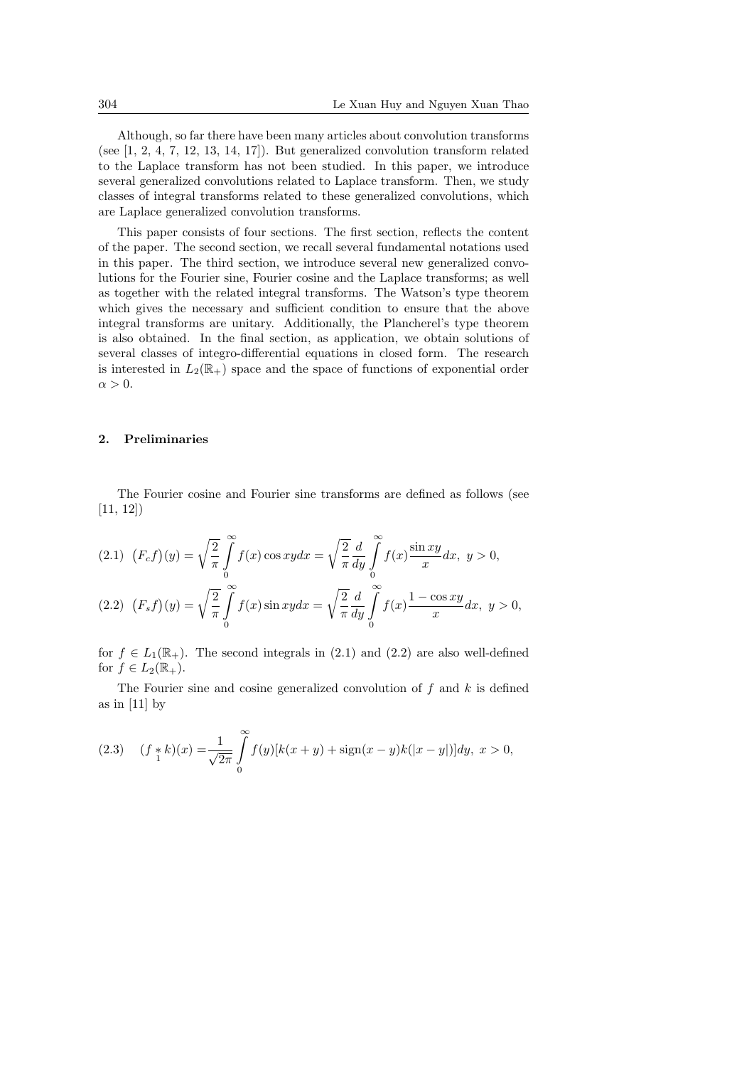Although, so far there have been many articles about convolution transforms (see [1, 2, 4, 7, 12, 13, 14, 17]). But generalized convolution transform related to the Laplace transform has not been studied. In this paper, we introduce several generalized convolutions related to Laplace transform. Then, we study classes of integral transforms related to these generalized convolutions, which are Laplace generalized convolution transforms.

This paper consists of four sections. The first section, reflects the content of the paper. The second section, we recall several fundamental notations used in this paper. The third section, we introduce several new generalized convolutions for the Fourier sine, Fourier cosine and the Laplace transforms; as well as together with the related integral transforms. The Watson's type theorem which gives the necessary and sufficient condition to ensure that the above integral transforms are unitary. Additionally, the Plancherel's type theorem is also obtained. In the final section, as application, we obtain solutions of several classes of integro-differential equations in closed form. The research is interested in  $L_2(\mathbb{R}_+)$  space and the space of functions of exponential order  $\alpha > 0$ .

## **2. Preliminaries**

The Fourier cosine and Fourier sine transforms are defined as follows (see [11, 12])

$$
(2.1) \ \ (F_c f)(y) = \sqrt{\frac{2}{\pi}} \int_0^\infty f(x) \cos xy dx = \sqrt{\frac{2}{\pi}} \frac{d}{dy} \int_0^\infty f(x) \frac{\sin xy}{x} dx, \ y > 0,
$$

$$
(2.2)\ \ (F_s f)(y) = \sqrt{\frac{2}{\pi}} \int_{0}^{\infty} f(x) \sin xy dx = \sqrt{\frac{2}{\pi}} \frac{d}{dy} \int_{0}^{\infty} f(x) \frac{1 - \cos xy}{x} dx, \ y > 0,
$$

for  $f \in L_1(\mathbb{R}_+)$ . The second integrals in (2.1) and (2.2) are also well-defined for  $f \in L_2(\mathbb{R}_+).$ 

The Fourier sine and cosine generalized convolution of *f* and *k* is defined as in  $[11]$  by

(2.3) 
$$
(f *_{1} k)(x) = \frac{1}{\sqrt{2\pi}} \int_{0}^{\infty} f(y)[k(x + y) + \text{sign}(x - y)k(|x - y|)]dy, \ x > 0,
$$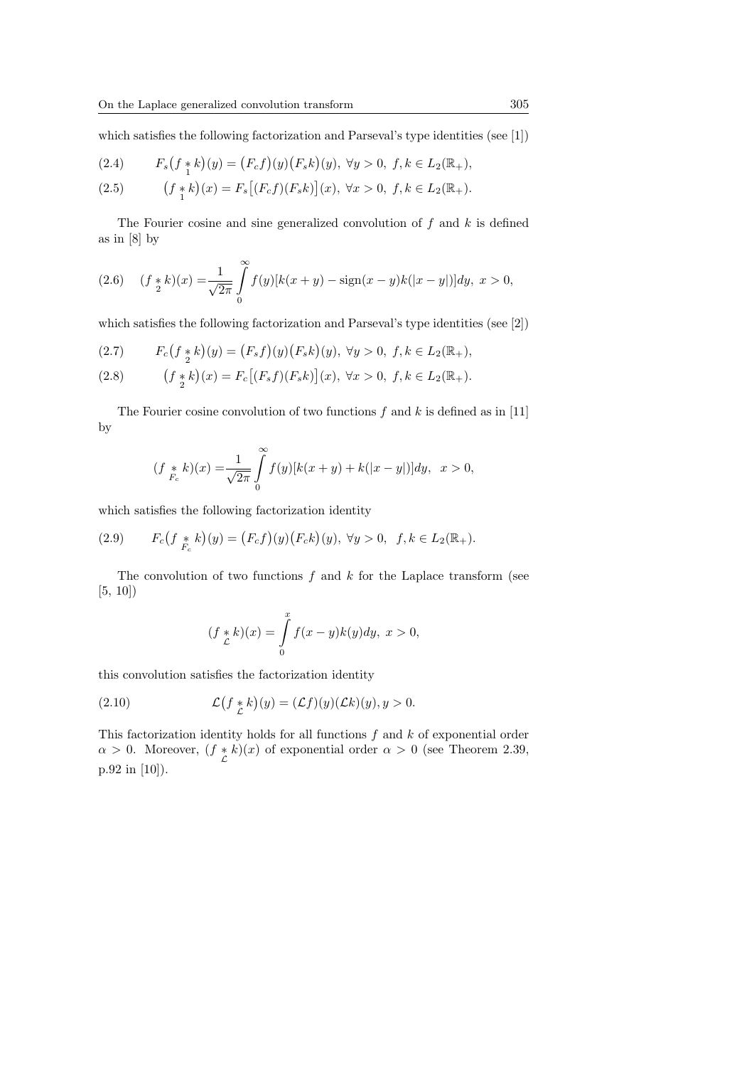which satisfies the following factorization and Parseval's type identities (see [1])

(2.4) 
$$
F_s(f * k)(y) = (F_c f)(y)(F_s k)(y), \ \forall y > 0, \ f, k \in L_2(\mathbb{R}_+),
$$

(2.5) 
$$
(f *_{1} k)(x) = F_{s}[(F_{c} f)(F_{s} k)](x), \forall x > 0, f, k \in L_{2}(\mathbb{R}_{+}).
$$

The Fourier cosine and sine generalized convolution of *f* and *k* is defined as in [8] by

(2.6) 
$$
(f *_{2} k)(x) = \frac{1}{\sqrt{2\pi}} \int_{0}^{\infty} f(y)[k(x + y) - \text{sign}(x - y)k(|x - y|)]dy, \ x > 0,
$$

which satisfies the following factorization and Parseval's type identities (see [2])

(2.7) 
$$
F_c(f * k)(y) = (F_s f)(y)(F_s k)(y), \ \forall y > 0, \ f, k \in L_2(\mathbb{R}_+),
$$

(2.8) 
$$
(f *_{2} k)(x) = F_{c}[(F_{s} f)(F_{s} k)](x), \forall x > 0, f, k \in L_{2}(\mathbb{R}_{+}).
$$

The Fourier cosine convolution of two functions *f* and *k* is defined as in [11] by

$$
(f *_{F_c} k)(x) = \frac{1}{\sqrt{2\pi}} \int_{0}^{\infty} f(y)[k(x+y) + k(|x-y|)]dy, \ \ x > 0,
$$

which satisfies the following factorization identity

(2.9) 
$$
F_c(f *_{F_c} k)(y) = (F_c f)(y) (F_c k)(y), \ \forall y > 0, \ f, k \in L_2(\mathbb{R}_+).
$$

The convolution of two functions *f* and *k* for the Laplace transform (see [5, 10])

$$
(f *_{\mathcal{L}} k)(x) = \int_{0}^{x} f(x - y)k(y)dy, \ x > 0,
$$

this convolution satisfies the factorization identity

(2.10) 
$$
\mathcal{L}(f *_{\mathcal{L}} k)(y) = (\mathcal{L}f)(y)(\mathcal{L}k)(y), y > 0.
$$

This factorization identity holds for all functions *f* and *k* of exponential order *α >* 0. Moreover, (*f ∗ L k*)(*x*) of exponential order  $\alpha > 0$  (see Theorem 2.39, p.92 in [10]).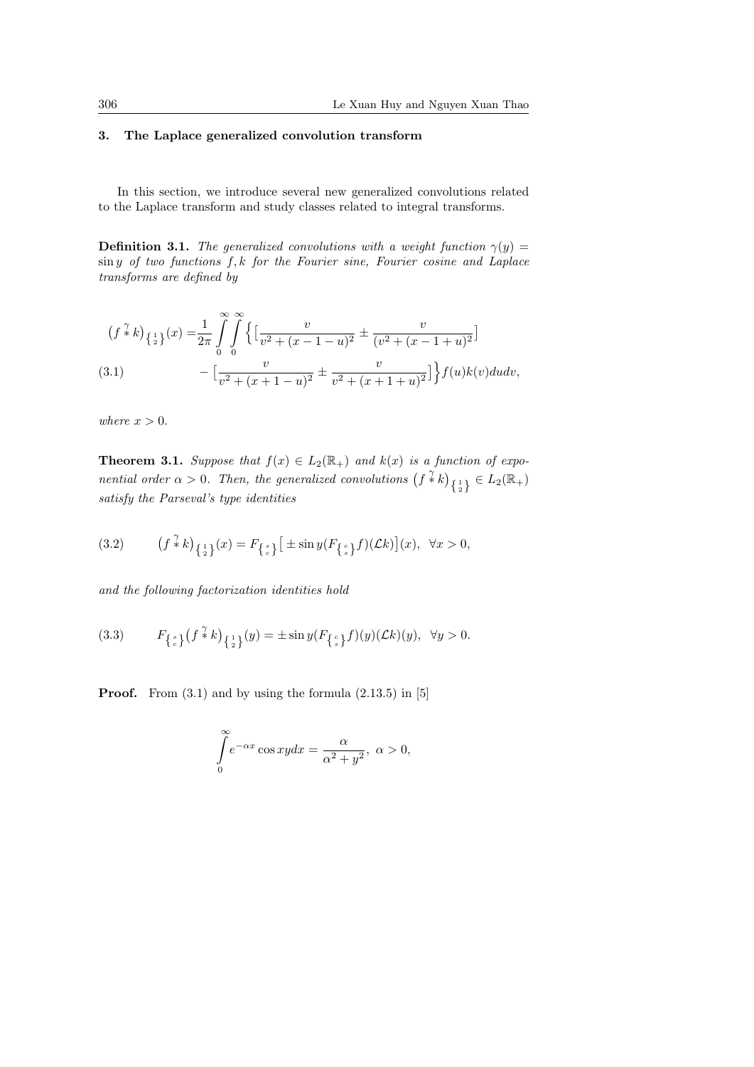## **3. The Laplace generalized convolution transform**

In this section, we introduce several new generalized convolutions related to the Laplace transform and study classes related to integral transforms.

**Definition 3.1.** *The generalized convolutions with a weight function*  $\gamma(y)$  = sin *y of two functions f, k for the Fourier sine, Fourier cosine and Laplace transforms are defined by*

$$
(f * k)_{\{\frac{1}{2}\}}(x) = \frac{1}{2\pi} \int_{0}^{\infty} \int_{0}^{\infty} \left\{ \left[ \frac{v}{v^2 + (x - 1 - u)^2} \pm \frac{v}{(v^2 + (x - 1 + u)^2} \right] \right\}
$$
  
(3.1) 
$$
- \left[ \frac{v}{v^2 + (x + 1 - u)^2} \pm \frac{v}{v^2 + (x + 1 + u)^2} \right] f(u)k(v)dudv,
$$

*where*  $x > 0$ *.* 

**Theorem 3.1.** *Suppose that*  $f(x) \in L_2(\mathbb{R}_+)$  *and*  $k(x)$  *is a function of exponential order*  $\alpha > 0$ . Then, the generalized convolutions  $(f * k)_{\{1\}} \in L_2(\mathbb{R}_+)$ *satisfy the Parseval's type identities*

(3.2) 
$$
(f * k)_{\{\frac{1}{2}\}}(x) = F_{\{\frac{s}{c}\}}\left[\pm \sin y (F_{\{\frac{c}{s}\}}f)(\mathcal{L}k)\right](x), \ \forall x > 0,
$$

*and the following factorization identities hold*

(3.3) 
$$
F_{\left\{\zeta\right\}}\left(f^{\gamma\over 4}k\right)_{\left\{\frac{1}{2}\right\}}(y)=\pm\sin y(F_{\left\{\zeta\right\}}f)(y)(\mathcal{L}k)(y), \ \ \forall y>0.
$$

**Proof.** From  $(3.1)$  and by using the formula  $(2.13.5)$  in [5]

$$
\int_{0}^{\infty} e^{-\alpha x} \cos xy dx = \frac{\alpha}{\alpha^2 + y^2}, \ \alpha > 0,
$$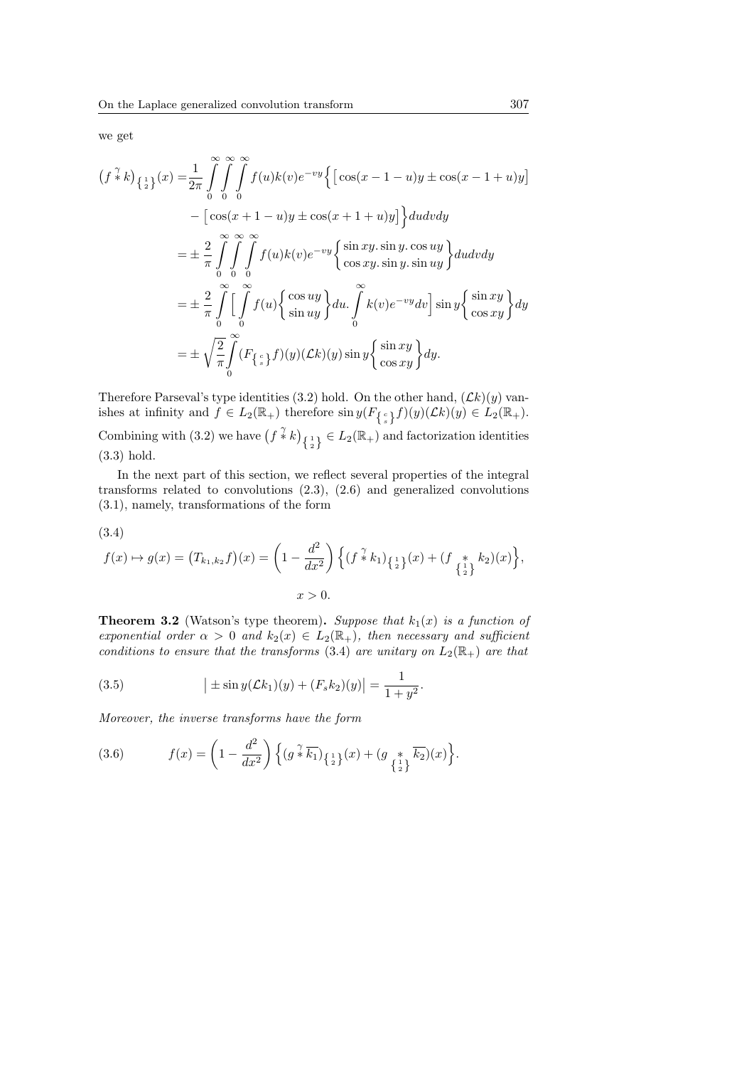we get

$$
(f * k)_{\{\frac{1}{2}\}}(x) = \frac{1}{2\pi} \int_{0}^{\infty} \int_{0}^{\infty} \int_{0}^{\infty} f(u)k(v)e^{-vy} \{ [\cos(x - 1 - u)y \pm \cos(x - 1 + u)y] - [\cos(x + 1 - u)y \pm \cos(x + 1 + u)y] \} du dv dy
$$
  

$$
= \pm \frac{2}{\pi} \int_{0}^{\infty} \int_{0}^{\infty} \int_{0}^{\infty} f(u)k(v)e^{-vy} \{\sin xy \cdot \sin y \cdot \cos uy \} du dv dy
$$
  

$$
= \pm \frac{2}{\pi} \int_{0}^{\infty} \int_{0}^{\infty} f(u) \{\cos uy \} du \cdot \int_{0}^{\infty} k(v)e^{-vy} dv] \sin y \{\sin xy \} du
$$
  

$$
= \pm \sqrt{\frac{2}{\pi}} \int_{0}^{\infty} (F_{\{\frac{c}{s}\}}f)(y)(\mathcal{L}k)(y) \sin y \{\frac{\sin xy}{\cos xy} \} dy.
$$

Therefore Parseval's type identities (3.2) hold. On the other hand,  $(Lk)(y)$  vanishes at infinity and  $f \in L_2(\mathbb{R}_+)$  therefore  $\sin y(F_{\{\frac{c}{s}\}}f)(y)(\mathcal{L}k)(y) \in L_2(\mathbb{R}_+).$ 

Combining with (3.2) we have  $(f * k)_{\{1\}\atop{2}} \in L_2(\mathbb{R}_+)$  and factorization identities (3.3) hold.

In the next part of this section, we reflect several properties of the integral transforms related to convolutions (2.3), (2.6) and generalized convolutions (3.1), namely, transformations of the form

$$
(3.4)
$$

$$
f(x) \mapsto g(x) = (T_{k_1,k_2}f)(x) = \left(1 - \frac{d^2}{dx^2}\right) \left\{ (f \stackrel{\gamma}{*} k_1)_{\{\frac{1}{2}\}}(x) + (f \stackrel{*}{\underset{\{\frac{1}{2}\}}{*}} k_2)(x) \right\},
$$
  

$$
x > 0.
$$

**Theorem 3.2** (Watson's type theorem)**.** *Suppose that k*1(*x*) *is a function of exponential order*  $\alpha > 0$  *and*  $k_2(x) \in L_2(\mathbb{R}_+),$  *then necessary and sufficient conditions to ensure that the transforms* (3.4) *are unitary on*  $L_2(\mathbb{R}_+)$  *are that* 

(3.5) 
$$
\left| \pm \sin y(\mathcal{L}k_1)(y) + (F_s k_2)(y) \right| = \frac{1}{1+y^2}.
$$

*Moreover, the inverse transforms have the form*

(3.6) 
$$
f(x) = \left(1 - \frac{d^2}{dx^2}\right) \left\{ \left(g^{\frac{\gamma}{*}} \overline{k_1}\right)_{\left\{\frac{1}{2}\right\}} (x) + \left(g^{\frac{*}{*}} \overline{k_2}\right) (x)\right\}.
$$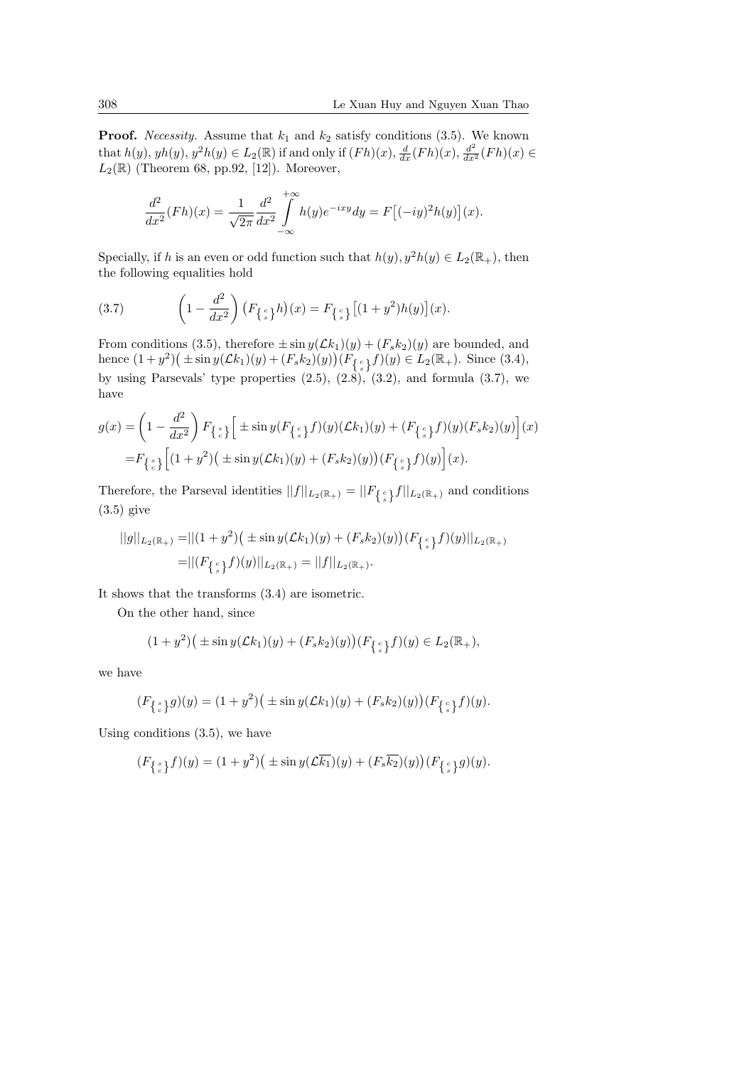**Proof.** *Necessity.* Assume that  $k_1$  and  $k_2$  satisfy conditions (3.5). We known that  $h(y)$ ,  $yh(y)$ ,  $y^2h(y) \in L_2(\mathbb{R})$  if and only if  $(Fh)(x)$ ,  $\frac{d}{dx}(Fh)(x)$ ,  $\frac{d^2}{dx^2}(Fh)(x) \in$  $L_2(\mathbb{R})$  (Theorem 68, pp.92, [12]). Moreover,

$$
\frac{d^2}{dx^2}(Fh)(x) = \frac{1}{\sqrt{2\pi}} \frac{d^2}{dx^2} \int_{-\infty}^{+\infty} h(y)e^{-ixy}dy = F[(-iy)^2h(y)](x).
$$

Specially, if *h* is an even or odd function such that  $h(y)$ ,  $y^2h(y) \in L_2(\mathbb{R}_+)$ , then the following equalities hold

(3.7) 
$$
\left(1 - \frac{d^2}{dx^2}\right) \left(F_{\left\{\frac{c}{s}\right\}}h\right)(x) = F_{\left\{\frac{c}{s}\right\}}\left[(1 + y^2)h(y)\right](x).
$$

From conditions (3.5), therefore  $\pm \sin y(\mathcal{L}k_1)(y) + (F_sk_2)(y)$  are bounded, and hence  $(1 + y^2)$  (±sin  $y(\mathcal{L}k_1)(y) + (F_s k_2)(y)$ )  $(F_{\{s\}} f)(y) \in L_2(\mathbb{R}_+)$ . Since (3.4), by using Parsevals' type properties  $(2.5)$ ,  $(2.8)$ ,  $(3.2)$ , and formula  $(3.7)$ , we have

$$
g(x) = \left(1 - \frac{d^2}{dx^2}\right) F_{\{\frac{s}{c}\}} \left[ \pm \sin y (F_{\{\frac{c}{s}\}} f)(y) (\mathcal{L}k_1)(y) + (F_{\{\frac{c}{s}\}} f)(y) (F_s k_2)(y) \right](x)
$$
  
=  $F_{\{\frac{s}{c}\}} \left[ (1 + y^2) (\pm \sin y (\mathcal{L}k_1)(y) + (F_s k_2)(y)) (F_{\{\frac{c}{s}\}} f)(y) \right](x).$ 

Therefore, the Parseval identities  $||f||_{L_2(\mathbb{R}_+)} = ||F_{\{s\}}f||_{L_2(\mathbb{R}_+)}$  and conditions (3.5) give

$$
||g||_{L_2(\mathbb{R}_+)} = ||(1+y^2)(\pm \sin y(\mathcal{L}k_1)(y) + (F_s k_2)(y))(F_{\{\frac{c}{s}\}}f)(y)||_{L_2(\mathbb{R}_+)}
$$
  
=  $||(F_{\{\frac{c}{s}\}}f)(y)||_{L_2(\mathbb{R}_+)} = ||f||_{L_2(\mathbb{R}_+)}.$ 

It shows that the transforms (3.4) are isometric.

On the other hand, since

$$
(1+y^2)(\pm \sin y(\mathcal{L}k_1)(y) + (F_s k_2)(y))(F_{\{\frac{c}{s}\}}f)(y) \in L_2(\mathbb{R}_+),
$$

we have

$$
(F_{\{s\}\,}g)(y) = (1+y^2)\big(\pm \sin y(\mathcal{L}k_1)(y) + (F_sk_2)(y)\big)(F_{\{s\}\,}f)(y).
$$

Using conditions (3.5), we have

$$
(F_{\{s\ \atop c\}}f)(y) = (1+y^2)\big(\pm \sin y(\mathcal{L}\overline{k_1})(y) + (F_s\overline{k_2})(y)\big)(F_{\{s\ \atop s\}}g)(y).
$$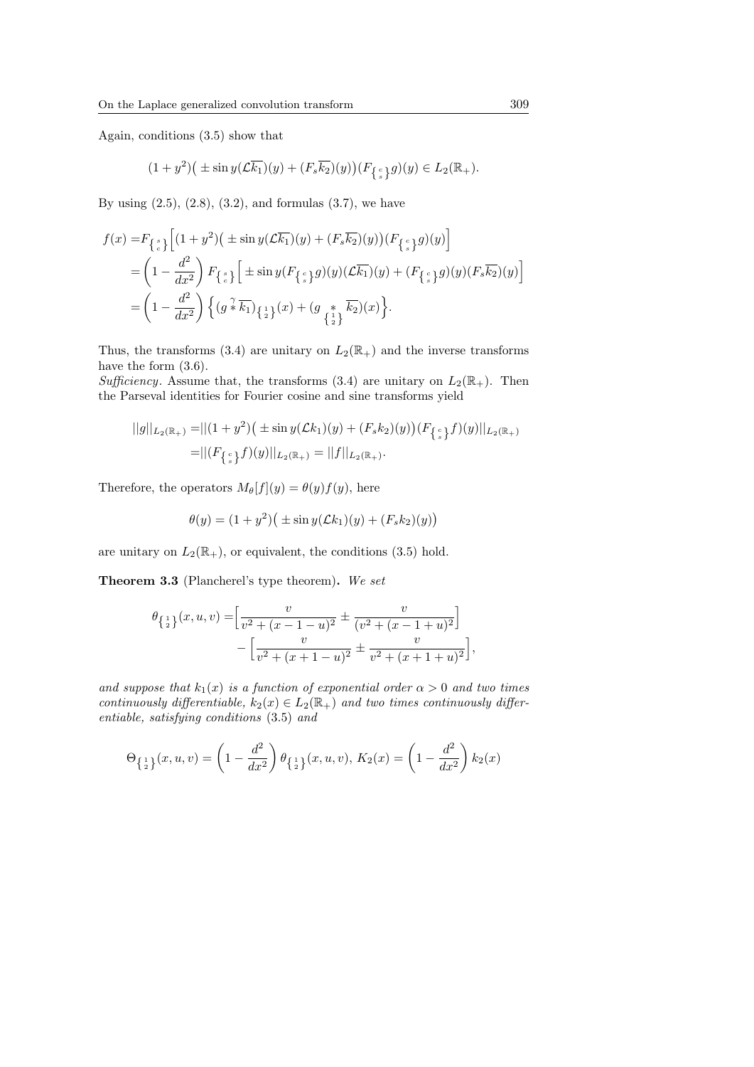Again, conditions (3.5) show that

$$
(1+y^2)\big(\pm\sin y(\mathcal{L}\overline{k_1})(y)+(F_s\overline{k_2})(y)\big)(F_{\left\{\frac{c}{s}\right\}}g)(y)\in L_2(\mathbb{R}_+).
$$

By using  $(2.5)$ ,  $(2.8)$ ,  $(3.2)$ , and formulas  $(3.7)$ , we have

$$
f(x) = F_{\begin{Bmatrix} s \\ c \end{Bmatrix}} \left[ (1 + y^2)(\pm \sin y(\mathcal{L}\overline{k_1})(y) + (F_s \overline{k_2})(y))(F_{\begin{Bmatrix} c \\ s \end{Bmatrix}}g)(y) \right]
$$
  
= 
$$
\left(1 - \frac{d^2}{dx^2}\right) F_{\begin{Bmatrix} s \\ c \end{Bmatrix}} \left[ \pm \sin y(F_{\begin{Bmatrix} c \\ s \end{Bmatrix}}g)(y)(\mathcal{L}\overline{k_1})(y) + (F_{\begin{Bmatrix} c \\ s \end{Bmatrix}}g)(y)(F_s \overline{k_2})(y) \right]
$$
  
= 
$$
\left(1 - \frac{d^2}{dx^2}\right) \left\{ (g \sqrt[2]{k_1})(x) + (g \sqrt[2]{k_2})(x) \right\}.
$$

Thus, the transforms (3.4) are unitary on  $L_2(\mathbb{R}_+)$  and the inverse transforms have the form  $(3.6)$ .

*Sufficiency.* Assume that, the transforms (3.4) are unitary on  $L_2(\mathbb{R}_+$ *.* Then the Parseval identities for Fourier cosine and sine transforms yield

$$
||g||_{L_2(\mathbb{R}_+)} = ||(1+y^2)(\pm \sin y(\mathcal{L}k_1)(y) + (F_s k_2)(y))(F_{\{\frac{c}{s}\}}f)(y)||_{L_2(\mathbb{R}_+)}
$$
  
=  $||(F_{\{\frac{c}{s}\}}f)(y)||_{L_2(\mathbb{R}_+)} = ||f||_{L_2(\mathbb{R}_+)}.$ 

Therefore, the operators  $M_{\theta}[f](y) = \theta(y)f(y)$ , here

$$
\theta(y) = (1 + y^2) \big( \pm \sin y (\mathcal{L}k_1)(y) + (F_s k_2)(y) \big)
$$

are unitary on  $L_2(\mathbb{R}_+),$  or equivalent, the conditions (3.5) hold.

**Theorem 3.3** (Plancherel's type theorem)**.** *We set*

$$
\theta_{\{\frac{1}{2}\}}(x, u, v) = \left[\frac{v}{v^2 + (x - 1 - u)^2} \pm \frac{v}{(v^2 + (x - 1 + u)^2}\right] - \left[\frac{v}{v^2 + (x + 1 - u)^2} \pm \frac{v}{v^2 + (x + 1 + u)^2}\right],
$$

*and suppose that*  $k_1(x)$  *is a function of exponential order*  $\alpha > 0$  *and two times continuously differentiable,*  $k_2(x) \in L_2(\mathbb{R}_+)$  *and two times continuously differentiable, satisfying conditions* (3.5) *and*

$$
\Theta_{\{\frac{1}{2}\}}(x, u, v) = \left(1 - \frac{d^2}{dx^2}\right) \theta_{\{\frac{1}{2}\}}(x, u, v), K_2(x) = \left(1 - \frac{d^2}{dx^2}\right) k_2(x)
$$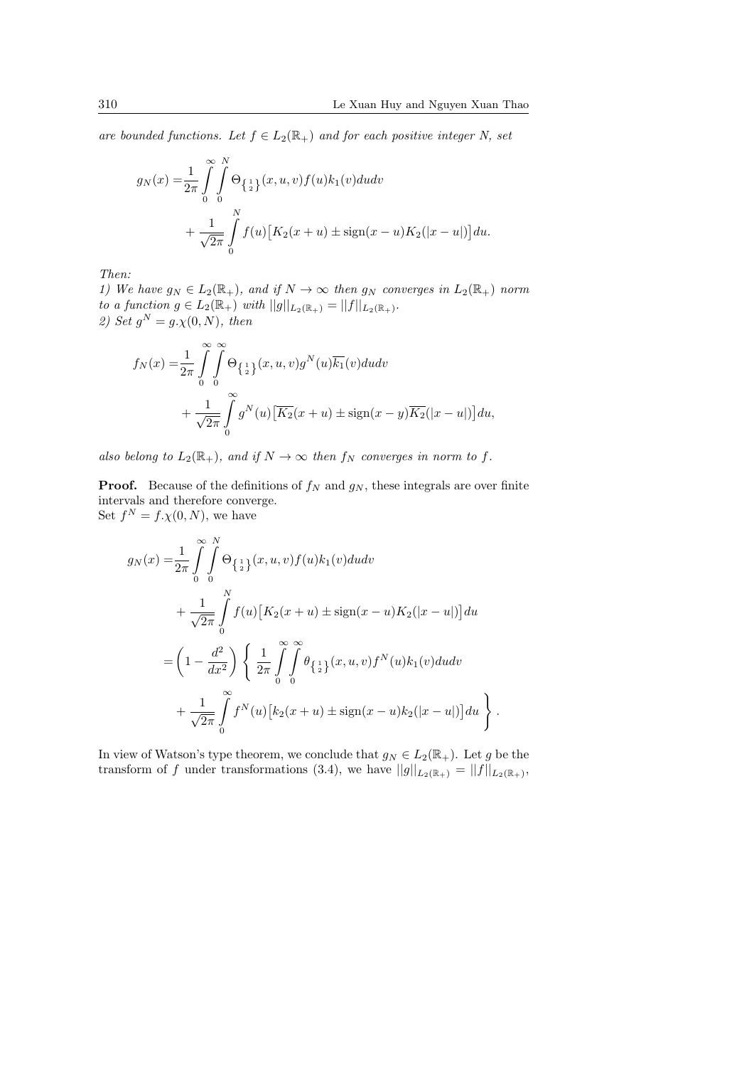*are bounded functions. Let*  $f \in L_2(\mathbb{R}_+)$  *and for each positive integer N, set* 

$$
g_N(x) = \frac{1}{2\pi} \int_{0}^{\infty} \int_{0}^{N} \Theta_{\{\frac{1}{2}\}}(x, u, v) f(u) k_1(v) du dv
$$
  
+ 
$$
\frac{1}{\sqrt{2\pi}} \int_{0}^{N} f(u) [K_2(x+u) \pm \text{sign}(x-u) K_2(|x-u|)] du.
$$

*Then:*

*1)* We have  $g_N \in L_2(\mathbb{R}_+),$  and if  $N \to \infty$  then  $g_N$  converges in  $L_2(\mathbb{R}_+)$  norm *to a function*  $g \in L_2(\mathbb{R}_+)$  *with*  $||g||_{L_2(\mathbb{R}_+)} = ||f||_{L_2(\mathbb{R}_+)}$ . *2)* Set  $g^N = g.\chi(0,N)$ , then

$$
f_N(x) = \frac{1}{2\pi} \int_{0}^{\infty} \int_{0}^{\infty} \Theta_{\left\{\frac{1}{2}\right\}}(x, u, v) g^N(u) \overline{k_1}(v) du dv
$$
  
+ 
$$
\frac{1}{\sqrt{2\pi}} \int_{0}^{\infty} g^N(u) \left[ \overline{K_2}(x+u) \pm \text{sign}(x-y) \overline{K_2}(|x-u|) \right] du,
$$

*also belong to*  $L_2(\mathbb{R}_+)$ *, and if*  $N \to \infty$  *then*  $f_N$  *converges in norm to*  $f$ *.* 

**Proof.** Because of the definitions of  $f_N$  and  $g_N$ , these integrals are over finite intervals and therefore converge. Set  $f^N = f.\chi(0,N)$ , we have

$$
g_N(x) = \frac{1}{2\pi} \int_{0}^{\infty} \int_{0}^{N} \Theta_{\{\frac{1}{2}\}}(x, u, v) f(u) k_1(v) du dv
$$
  
+ 
$$
\frac{1}{\sqrt{2\pi}} \int_{0}^{N} f(u) [K_2(x + u) \pm \text{sign}(x - u) K_2(|x - u|)] du
$$
  
= 
$$
\left(1 - \frac{d^2}{dx^2}\right) \left\{\frac{1}{2\pi} \int_{0}^{\infty} \int_{0}^{\infty} \theta_{\{\frac{1}{2}\}}(x, u, v) f^N(u) k_1(v) du dv + \frac{1}{\sqrt{2\pi}} \int_{0}^{\infty} f^N(u) [k_2(x + u) \pm \text{sign}(x - u) k_2(|x - u|)] du \right\}.
$$

In view of Watson's type theorem, we conclude that  $g_N \in L_2(\mathbb{R}_+)$ . Let *g* be the transform of *f* under transformations (3.4), we have  $||g||_{L_2(\mathbb{R}_+)} = ||f||_{L_2(\mathbb{R}_+)},$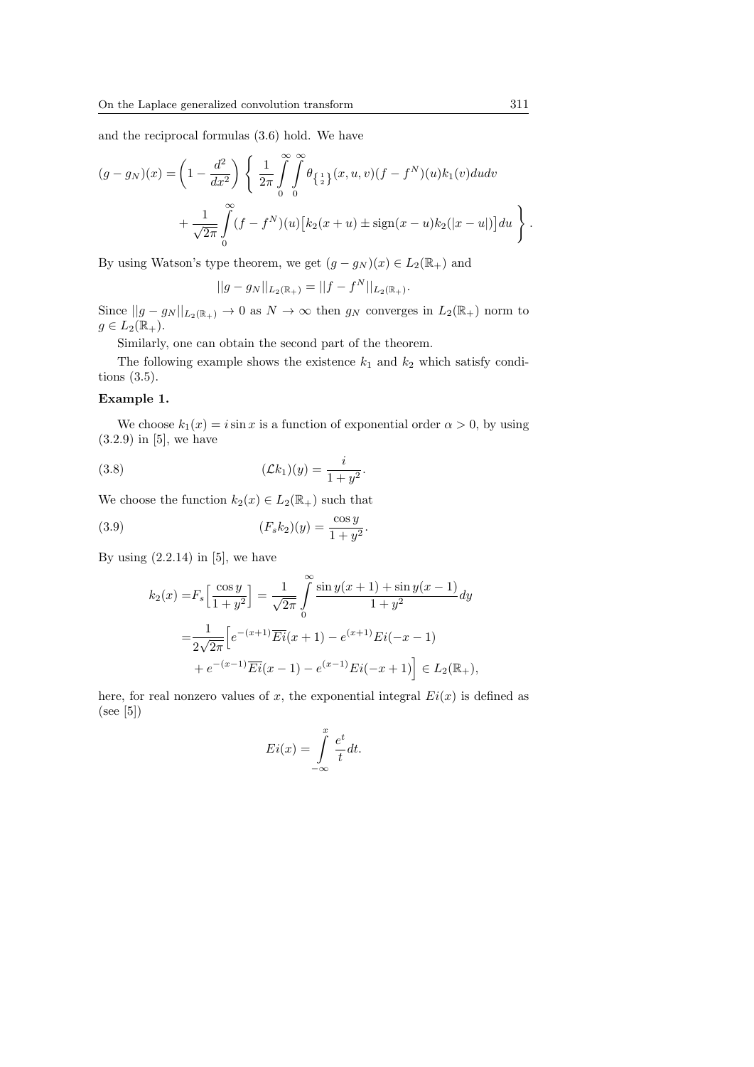and the reciprocal formulas (3.6) hold. We have

$$
(g - g_N)(x) = \left(1 - \frac{d^2}{dx^2}\right) \left\{\frac{1}{2\pi} \int_{0}^{\infty} \int_{0}^{\infty} \theta_{\{\frac{1}{2}\}}(x, u, v)(f - f^N)(u)k_1(v)dudv + \frac{1}{\sqrt{2\pi}} \int_{0}^{\infty} (f - f^N)(u)[k_2(x + u) \pm \text{sign}(x - u)k_2(|x - u|)]du\right\}
$$

By using Watson's type theorem, we get  $(g - g_N)(x) \in L_2(\mathbb{R}_+)$  and

$$
||g - g_N||_{L_2(\mathbb{R}_+)} = ||f - f^N||_{L_2(\mathbb{R}_+)}.
$$

Since  $||g - g_N||_{L_2(\mathbb{R}_+)} \to 0$  as  $N \to \infty$  then  $g_N$  converges in  $L_2(\mathbb{R}_+)$  norm to  $g \in L_2(\mathbb{R}_+).$ 

Similarly, one can obtain the second part of the theorem.

The following example shows the existence  $k_1$  and  $k_2$  which satisfy conditions (3.5).

## **Example 1.**

We choose  $k_1(x) = i \sin x$  is a function of exponential order  $\alpha > 0$ , by using  $(3.2.9)$  in [5], we have

(3.8) 
$$
(\mathcal{L}k_1)(y) = \frac{i}{1+y^2}.
$$

We choose the function  $k_2(x) \in L_2(\mathbb{R}_+)$  such that

(3.9) 
$$
(F_s k_2)(y) = \frac{\cos y}{1 + y^2}.
$$

By using  $(2.2.14)$  in [5], we have

$$
k_2(x) = F_s \left[ \frac{\cos y}{1 + y^2} \right] = \frac{1}{\sqrt{2\pi}} \int_0^\infty \frac{\sin y(x + 1) + \sin y(x - 1)}{1 + y^2} dy
$$
  
= 
$$
\frac{1}{2\sqrt{2\pi}} \left[ e^{-(x+1)} \overline{E} i(x + 1) - e^{(x+1)} E i(-x - 1) + e^{-(x-1)} \overline{E} i(x - 1) - e^{(x-1)} E i(-x + 1) \right] \in L_2(\mathbb{R}_+),
$$

here, for real nonzero values of  $x$ , the exponential integral  $Ei(x)$  is defined as (see [5])

$$
Ei(x) = \int_{-\infty}^{x} \frac{e^t}{t} dt.
$$

*.*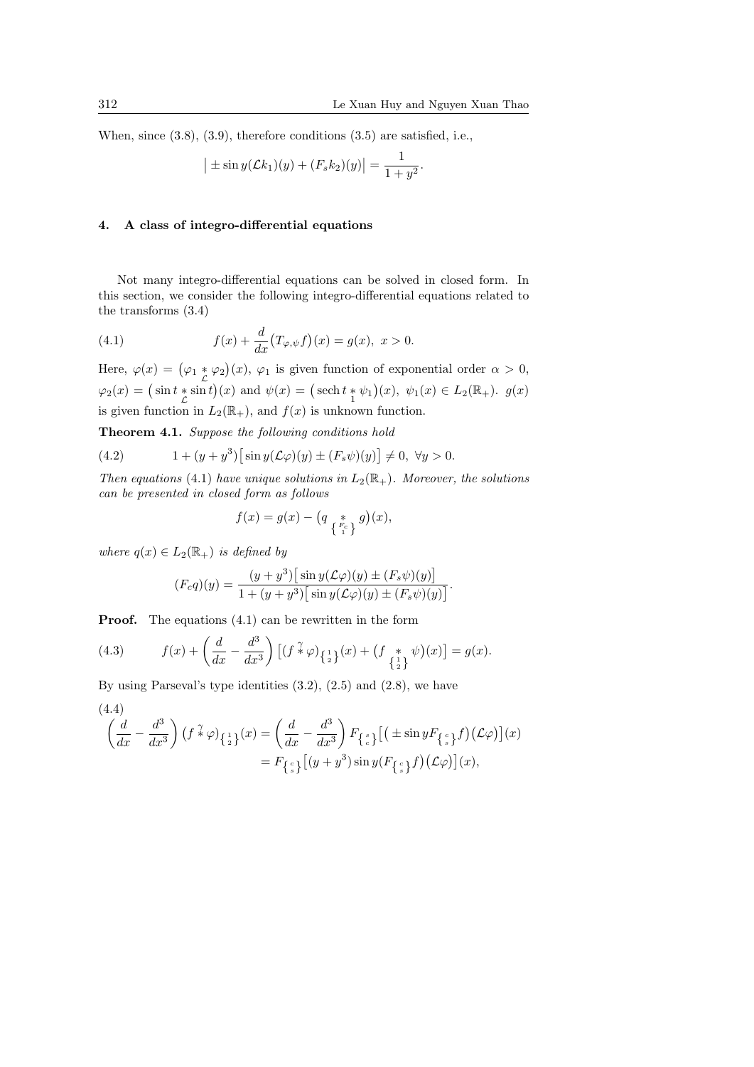When, since (3.8), (3.9), therefore conditions (3.5) are satisfied, i.e.,

$$
\left| \pm \sin y(\mathcal{L}k_1)(y) + (F_s k_2)(y) \right| = \frac{1}{1+y^2}.
$$

### **4. A class of integro-differential equations**

Not many integro-differential equations can be solved in closed form. In this section, we consider the following integro-differential equations related to the transforms (3.4)

(4.1) 
$$
f(x) + \frac{d}{dx}(T_{\varphi,\psi}f)(x) = g(x), \ x > 0.
$$

Here,  $\varphi(x) = (\varphi_1 * \varphi_2)(x)$ ,  $\varphi_1$  is given function of exponential order  $\alpha > 0$ ,  $\varphi_2(x) = (\sin t * \sin t)(x)$  and  $\psi(x) = (\operatorname{sech} t * \psi_1)(x), \psi_1(x) \in L_2(\mathbb{R}_+).$  *g*(*x*) is given function in  $L_2(\mathbb{R}_+)$ , and  $f(x)$  is unknown function.

**Theorem 4.1.** *Suppose the following conditions hold*

(4.2) 
$$
1 + (y + y^{3}) \left[ \sin y (\mathcal{L} \varphi)(y) \pm (F_{s} \psi)(y) \right] \neq 0, \ \forall y > 0.
$$

*Then equations* (4.1) *have unique solutions in*  $L_2(\mathbb{R}_+)$ *. Moreover, the solutions can be presented in closed form as follows*

$$
f(x) = g(x) - \left(q \underset{\left\{\begin{smallmatrix} F_c \\ 1 \end{smallmatrix}\right\}}{\ast} g\right)(x),
$$

*where*  $q(x) \in L_2(\mathbb{R}_+)$  *is defined by* 

$$
(F_c q)(y) = \frac{(y+y^3)\big[\sin y(\mathcal{L}\varphi)(y) \pm (F_s \psi)(y)\big]}{1+(y+y^3)\big[\sin y(\mathcal{L}\varphi)(y) \pm (F_s \psi)(y)\big]}.
$$

**Proof.** The equations  $(4.1)$  can be rewritten in the form

(4.3) 
$$
f(x) + \left(\frac{d}{dx} - \frac{d^3}{dx^3}\right) \left[ (f^{\gamma} \varphi)_{\{\frac{1}{2}\}}(x) + (f^{\gamma} \psi)(x) \right] = g(x).
$$

By using Parseval's type identities (3.2), (2.5) and (2.8), we have

$$
(4.4)
$$

$$
\left(\frac{d}{dx} - \frac{d^3}{dx^3}\right) \left(f \ast \varphi\right)_{\left\{\frac{1}{2}\right\}}(x) = \left(\frac{d}{dx} - \frac{d^3}{dx^3}\right) F_{\left\{\frac{s}{c}\right\}}\left[\left(\pm \sin y F_{\left\{\frac{c}{s}\right\}} f\right) (\mathcal{L}\varphi)\right](x)
$$
  
=  $F_{\left\{\frac{c}{s}\right\}}\left[(y+y^3)\sin y (F_{\left\{\frac{c}{s}\right\}} f) (\mathcal{L}\varphi)\right](x),$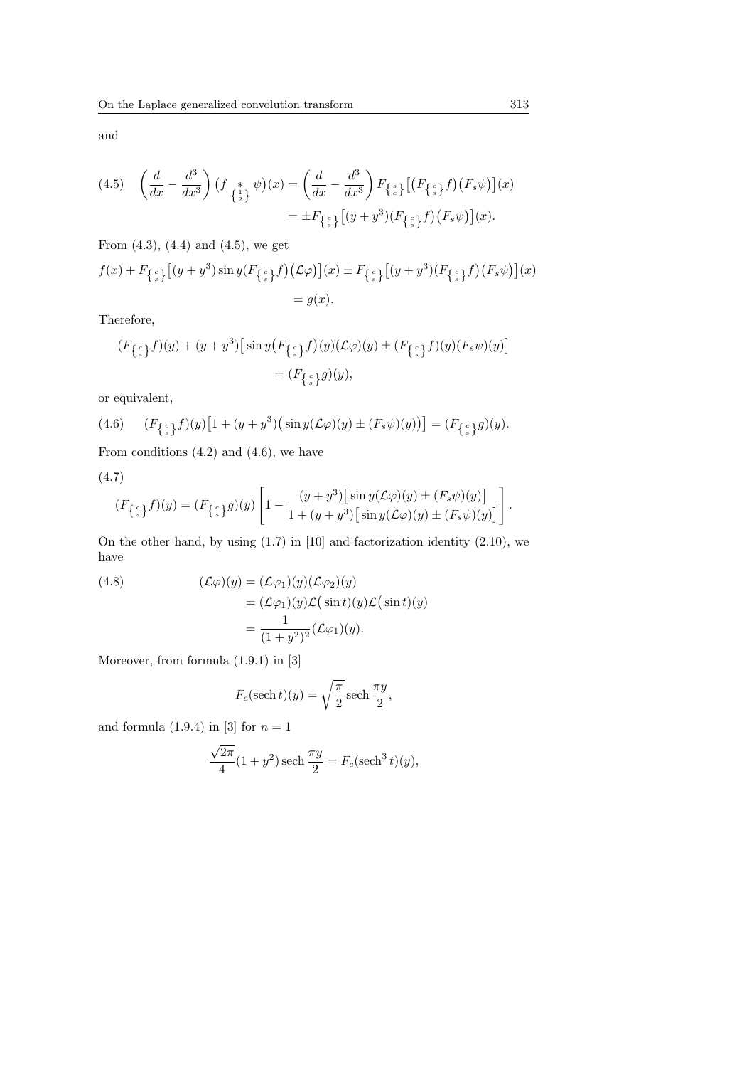and

$$
(4.5) \quad \left(\frac{d}{dx} - \frac{d^3}{dx^3}\right) \left(f_{\begin{array}{c} * \\ \{2\} \end{array}} \psi\right)(x) = \left(\frac{d}{dx} - \frac{d^3}{dx^3}\right) F_{\begin{array}{c} * \\ \{e\} \end{array}} \left[\left(F_{\begin{array}{c} e \\ \{e\} \end{array}} f\right) \left(F_s \psi\right)\right](x) \\ = \pm F_{\begin{array}{c} * \\ \{e\} \end{array}} \left[\left(y + y^3\right) \left(F_{\begin{array}{c} e \\ \{e\} \end{array}} f\right) \left(F_s \psi\right)\right](x).
$$

From (4.3), (4.4) and (4.5), we get

$$
f(x) + F_{\{s\}}[(y+y^3)\sin y(F_{\{s\}}f)(\mathcal{L}\varphi)](x) \pm F_{\{s\}}[(y+y^3)(F_{\{s\}}f)(F_s\psi)](x)
$$
  
= g(x).

Therefore,

$$
\begin{aligned} (F_{\{\begin{smallmatrix}c\\s\end{smallmatrix}\}}f)(y) + (y + y^3) \big[ \sin y \big( F_{\{\begin{smallmatrix}c\\s\end{smallmatrix}\}}f \big) (y) (\mathcal{L}\varphi)(y) \pm (F_{\{\begin{smallmatrix}c\\s\end{smallmatrix}\}}f) (y) (F_s\psi)(y) \big] \\ & = (F_{\{\begin{smallmatrix}c\\s\end{smallmatrix}\}}g)(y), \end{aligned}
$$

or equivalent,

(4.6) 
$$
(F_{\{s\}}f)(y)[1+(y+y^3)(\sin y(\mathcal{L}\varphi)(y)\pm(F_s\psi)(y))] = (F_{\{s\}}g)(y).
$$

From conditions  $(4.2)$  and  $(4.6)$ , we have

(4.7)

$$
(F_{\{s\}}f)(y) = (F_{\{s\}}g)(y) \left[1 - \frac{(y+y^3)\left[\sin y(\mathcal{L}\varphi)(y) \pm (F_s\psi)(y)\right]}{1 + (y+y^3)\left[\sin y(\mathcal{L}\varphi)(y) \pm (F_s\psi)(y)\right]}\right].
$$

On the other hand, by using (1*.*7) in [10] and factorization identity (2.10), we have

(4.8) 
$$
(\mathcal{L}\varphi)(y) = (\mathcal{L}\varphi_1)(y)(\mathcal{L}\varphi_2)(y)
$$

$$
= (\mathcal{L}\varphi_1)(y)\mathcal{L}(\sin t)(y)\mathcal{L}(\sin t)(y)
$$

$$
= \frac{1}{(1+y^2)^2}(\mathcal{L}\varphi_1)(y).
$$

Moreover, from formula (1*.*9*.*1) in [3]

$$
F_c(\operatorname{sech} t)(y) = \sqrt{\frac{\pi}{2}} \operatorname{sech} \frac{\pi y}{2},
$$

and formula  $(1.9.4)$  in [3] for  $n = 1$ 

$$
\frac{\sqrt{2\pi}}{4}(1+y^2)\operatorname{sech}\frac{\pi y}{2} = F_c(\operatorname{sech}^3 t)(y),
$$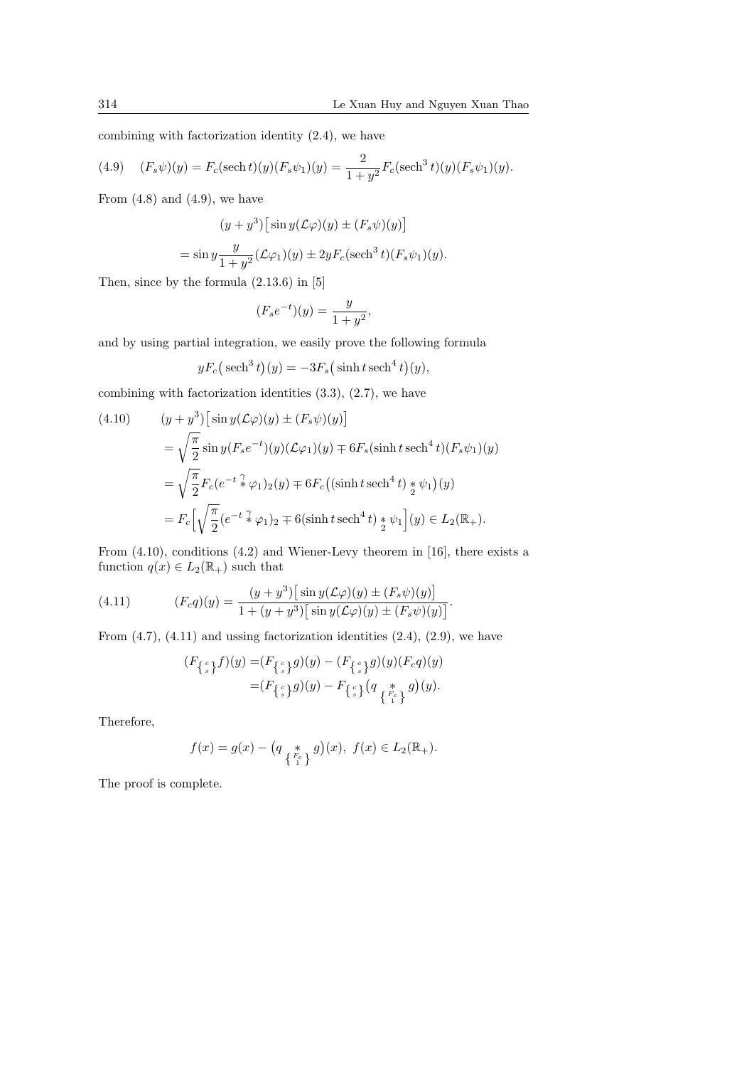combining with factorization identity (2.4), we have

(4.9) 
$$
(F_s \psi)(y) = F_c(\operatorname{sech} t)(y)(F_s \psi_1)(y) = \frac{2}{1+y^2} F_c(\operatorname{sech}^3 t)(y)(F_s \psi_1)(y).
$$

From  $(4.8)$  and  $(4.9)$ , we have

$$
(y + y3) \left[ \sin y(\mathcal{L}\varphi)(y) \pm (F_s \psi)(y) \right]
$$
  
= 
$$
\sin y \frac{y}{1 + y^2} (\mathcal{L}\varphi_1)(y) \pm 2y F_c (\mathrm{sech}^3 t) (F_s \psi_1)(y).
$$

Then, since by the formula (2*.*13*.*6) in [5]

$$
(F_s e^{-t})(y) = \frac{y}{1 + y^2},
$$

and by using partial integration, we easily prove the following formula

$$
yF_c(\mathrm{sech}^3 t)(y) = -3F_s(\sinh t \mathrm{sech}^4 t)(y),
$$

combining with factorization identities (3.3), (2.7), we have

(4.10) 
$$
(y + y^3) \left[ \sin y(\mathcal{L}\varphi)(y) \pm (F_s \psi)(y) \right]
$$

$$
= \sqrt{\frac{\pi}{2}} \sin y(F_s e^{-t})(y)(\mathcal{L}\varphi_1)(y) \mp 6F_s(\sinh t \operatorname{sech}^4 t)(F_s \psi_1)(y)
$$

$$
= \sqrt{\frac{\pi}{2}} F_c(e^{-t \frac{\gamma}{4}} \varphi_1)_2(y) \mp 6F_c((\sinh t \operatorname{sech}^4 t) * \psi_1)(y)
$$

$$
= F_c \left[ \sqrt{\frac{\pi}{2}} (e^{-t \frac{\gamma}{4}} \varphi_1)_2 \mp 6(\sinh t \operatorname{sech}^4 t) * \psi_1 \right](y) \in L_2(\mathbb{R}_+).
$$

From (4.10), conditions (4.2) and Wiener-Levy theorem in [16], there exists a function  $q(x) \in L_2(\mathbb{R}_+)$  such that

(4.11) 
$$
(F_c q)(y) = \frac{(y+y^3) [\sin y(\mathcal{L}\varphi)(y) \pm (F_s \psi)(y)]}{1 + (y+y^3) [\sin y(\mathcal{L}\varphi)(y) \pm (F_s \psi)(y)]}.
$$

From  $(4.7)$ ,  $(4.11)$  and ussing factorization identities  $(2.4)$ ,  $(2.9)$ , we have

$$
(F_{\{e\}\{g\}}f)(y) = (F_{\{e\}\{g\}}g)(y) - (F_{\{e\}\{g\}}g)(y)(F_c q)(y)
$$

$$
= (F_{\{e\}\{g\}}g)(y) - F_{\{e\}\{g\}}(q_{\{\frac{k}{F_1}\}}g)(y).
$$

Therefore,

$$
f(x) = g(x) - \left(q_{\{F_c}{F_c}\atop{1}{f(x)\in L_2(\mathbb{R}_+)}} g\right)(x), \ f(x) \in L_2(\mathbb{R}_+).
$$

The proof is complete.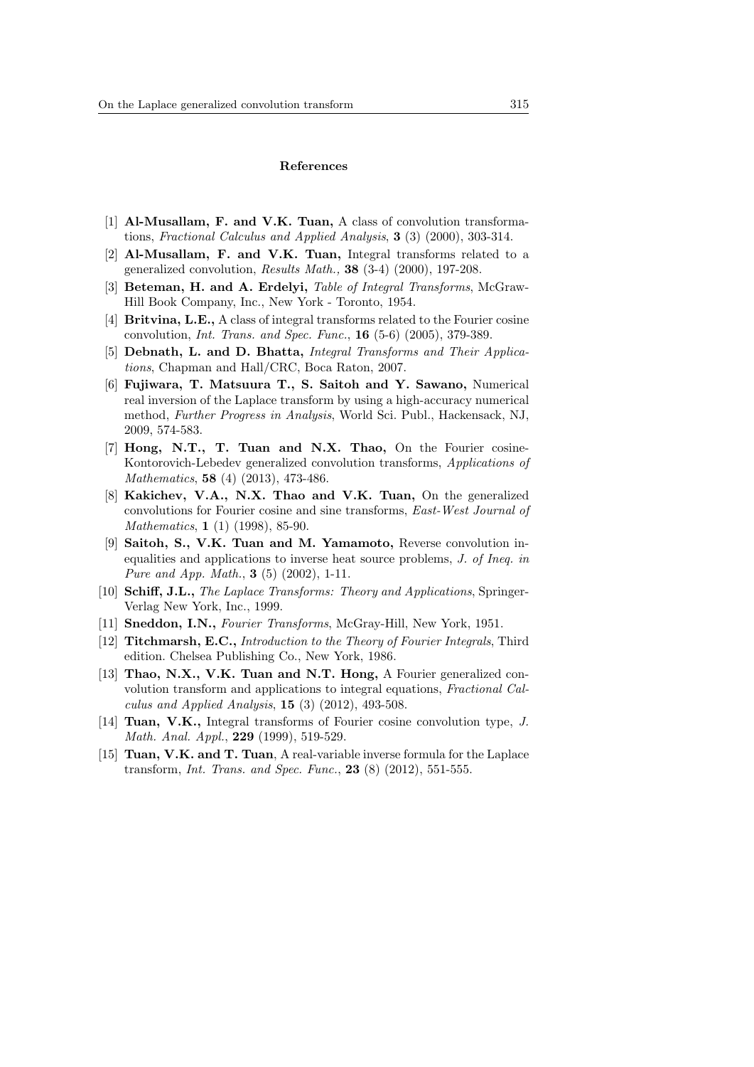#### **References**

- [1] **Al-Musallam, F. and V.K. Tuan,** A class of convolution transformations, *Fractional Calculus and Applied Analysis*, **3** (3) (2000), 303-314.
- [2] **Al-Musallam, F. and V.K. Tuan,** Integral transforms related to a generalized convolution, *Results Math.,* **38** (3-4) (2000), 197-208.
- [3] **Beteman, H. and A. Erdelyi,** *Table of Integral Transforms*, McGraw-Hill Book Company, Inc., New York - Toronto, 1954.
- [4] **Britvina, L.E.,** A class of integral transforms related to the Fourier cosine convolution, *Int. Trans. and Spec. Func.*, **16** (5-6) (2005), 379-389.
- [5] **Debnath, L. and D. Bhatta,** *Integral Transforms and Their Applications*, Chapman and Hall/CRC, Boca Raton, 2007.
- [6] **Fujiwara, T. Matsuura T., S. Saitoh and Y. Sawano,** Numerical real inversion of the Laplace transform by using a high-accuracy numerical method, *Further Progress in Analysis*, World Sci. Publ., Hackensack, NJ, 2009, 574-583.
- [7] **Hong, N.T., T. Tuan and N.X. Thao,** On the Fourier cosine-Kontorovich-Lebedev generalized convolution transforms, *Applications of Mathematics*, **58** (4) (2013), 473-486.
- [8] **Kakichev, V.A., N.X. Thao and V.K. Tuan,** On the generalized convolutions for Fourier cosine and sine transforms, *East-West Journal of Mathematics*, **1** (1) (1998), 85-90.
- [9] **Saitoh, S., V.K. Tuan and M. Yamamoto,** Reverse convolution inequalities and applications to inverse heat source problems, *J. of Ineq. in Pure and App. Math.*, **3** (5) (2002), 1-11.
- [10] **Schiff, J.L.,** *The Laplace Transforms: Theory and Applications*, Springer-Verlag New York, Inc., 1999.
- [11] **Sneddon, I.N.,** *Fourier Transforms*, McGray-Hill, New York, 1951.
- [12] **Titchmarsh, E.C.,** *Introduction to the Theory of Fourier Integrals*, Third edition. Chelsea Publishing Co., New York, 1986.
- [13] **Thao, N.X., V.K. Tuan and N.T. Hong,** A Fourier generalized convolution transform and applications to integral equations, *Fractional Calculus and Applied Analysis*, **15** (3) (2012), 493-508.
- [14] **Tuan, V.K.,** Integral transforms of Fourier cosine convolution type, *J. Math. Anal. Appl.*, **229** (1999), 519-529.
- [15] **Tuan, V.K. and T. Tuan**, A real-variable inverse formula for the Laplace transform, *Int. Trans. and Spec. Func.*, **23** (8) (2012), 551-555.